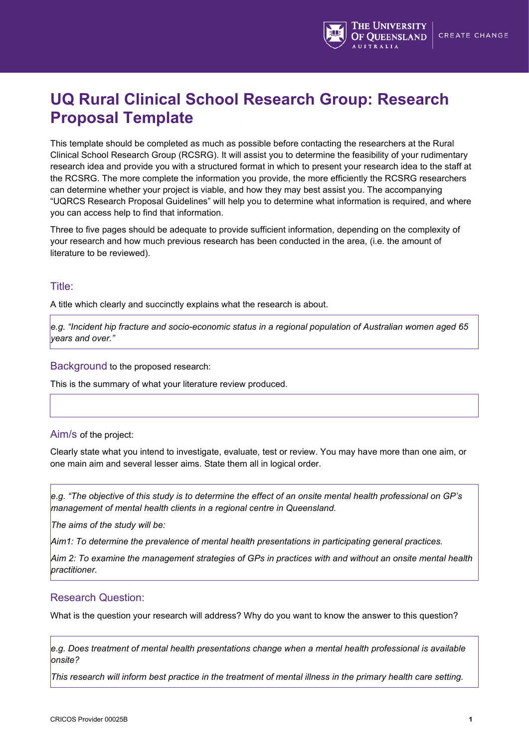

# **UQ Rural Clinical School Research Group: Research Proposal Template**

This template should be completed as much as possible before contacting the researchers at the Rural Clinical School Research Group (RCSRG). It will assist you to determine the feasibility of your rudimentary research idea and provide you with a structured format in which to present your research idea to the staff at the RCSRG. The more complete the information you provide, the more efficiently the RCSRG researchers can determine whether your project is viable, and how they may best assist you. The accompanying "UQRCS Research Proposal Guidelines" will help you to determine what information is required, and where you can access help to find that information.

Three to five pages should be adequate to provide sufficient information, depending on the complexity of your research and how much previous research has been conducted in the area, (i.e. the amount of literature to be reviewed).

## Title:

A title which clearly and succinctly explains what the research is about.

*e.g. "Incident hip fracture and socio-economic status in a regional population of Australian women aged 65 years and over."*

#### Background to the proposed research:

This is the summary of what your literature review produced.

#### Aim/s of the project:

Clearly state what you intend to investigate, evaluate, test or review. You may have more than one aim, or one main aim and several lesser aims. State them all in logical order.

*e.g. "The objective of this study is to determine the effect of an onsite mental health professional on GP's management of mental health clients in a regional centre in Queensland.* 

*The aims of the study will be:*

*Aim1: To determine the prevalence of mental health presentations in participating general practices.*

*Aim 2: To examine the management strategies of GPs in practices with and without an onsite mental health practitioner.*

#### Research Question:

What is the question your research will address? Why do you want to know the answer to this question?

*e.g. Does treatment of mental health presentations change when a mental health professional is available onsite?* 

*This research will inform best practice in the treatment of mental illness in the primary health care setting.*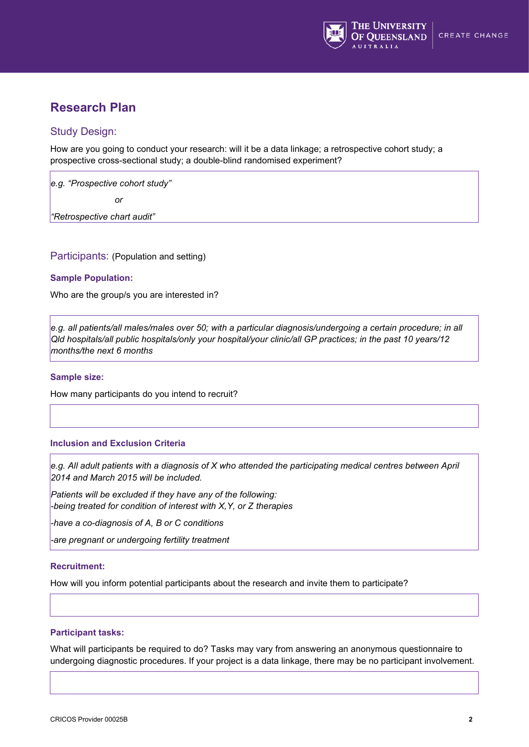

## **Research Plan**

## Study Design:

How are you going to conduct your research: will it be a data linkage; a retrospective cohort study; a prospective cross-sectional study; a double-blind randomised experiment?

*e.g. "Prospective cohort study"* 

*<u>discussing</u>* 

*"Retrospective chart audit"*

Participants: (Population and setting)

#### **Sample Population:**

Who are the group/s you are interested in?

*e.g. all patients/all males/males over 50; with a particular diagnosis/undergoing a certain procedure; in all Qld hospitals/all public hospitals/only your hospital/your clinic/all GP practices; in the past 10 years/12 months/the next 6 months*

#### **Sample size:**

How many participants do you intend to recruit?

#### **Inclusion and Exclusion Criteria**

*e.g. All adult patients with a diagnosis of X who attended the participating medical centres between April 2014 and March 2015 will be included.* 

*Patients will be excluded if they have any of the following: -being treated for condition of interest with X,Y, or Z therapies*

*-have a co-diagnosis of A, B or C conditions*

*-are pregnant or undergoing fertility treatment*

#### **Recruitment:**

How will you inform potential participants about the research and invite them to participate?

#### **Participant tasks:**

What will participants be required to do? Tasks may vary from answering an anonymous questionnaire to undergoing diagnostic procedures. If your project is a data linkage, there may be no participant involvement.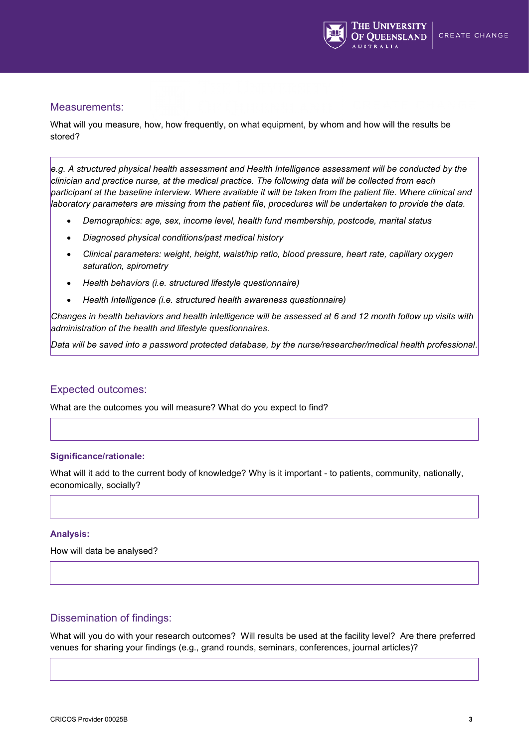

#### Measurements:

What will you measure, how, how frequently, on what equipment, by whom and how will the results be stored?

*e.g. A structured physical health assessment and Health Intelligence assessment will be conducted by the clinician and practice nurse, at the medical practice. The following data will be collected from each participant at the baseline interview. Where available it will be taken from the patient file. Where clinical and laboratory parameters are missing from the patient file, procedures will be undertaken to provide the data.* 

- *Demographics: age, sex, income level, health fund membership, postcode, marital status*
- *Diagnosed physical conditions/past medical history*
- *Clinical parameters: weight, height, waist/hip ratio, blood pressure, heart rate, capillary oxygen saturation, spirometry*
- *Health behaviors (i.e. structured lifestyle questionnaire)*
- *Health Intelligence (i.e. structured health awareness questionnaire)*

*Changes in health behaviors and health intelligence will be assessed at 6 and 12 month follow up visits with administration of the health and lifestyle questionnaires.* 

*Data will be saved into a password protected database, by the nurse/researcher/medical health professional*.

#### Expected outcomes:

What are the outcomes you will measure? What do you expect to find?

#### **Significance/rationale:**

What will it add to the current body of knowledge? Why is it important - to patients, community, nationally, economically, socially?

#### **Analysis:**

How will data be analysed?

## Dissemination of findings:

What will you do with your research outcomes? Will results be used at the facility level? Are there preferred venues for sharing your findings (e.g., grand rounds, seminars, conferences, journal articles)?